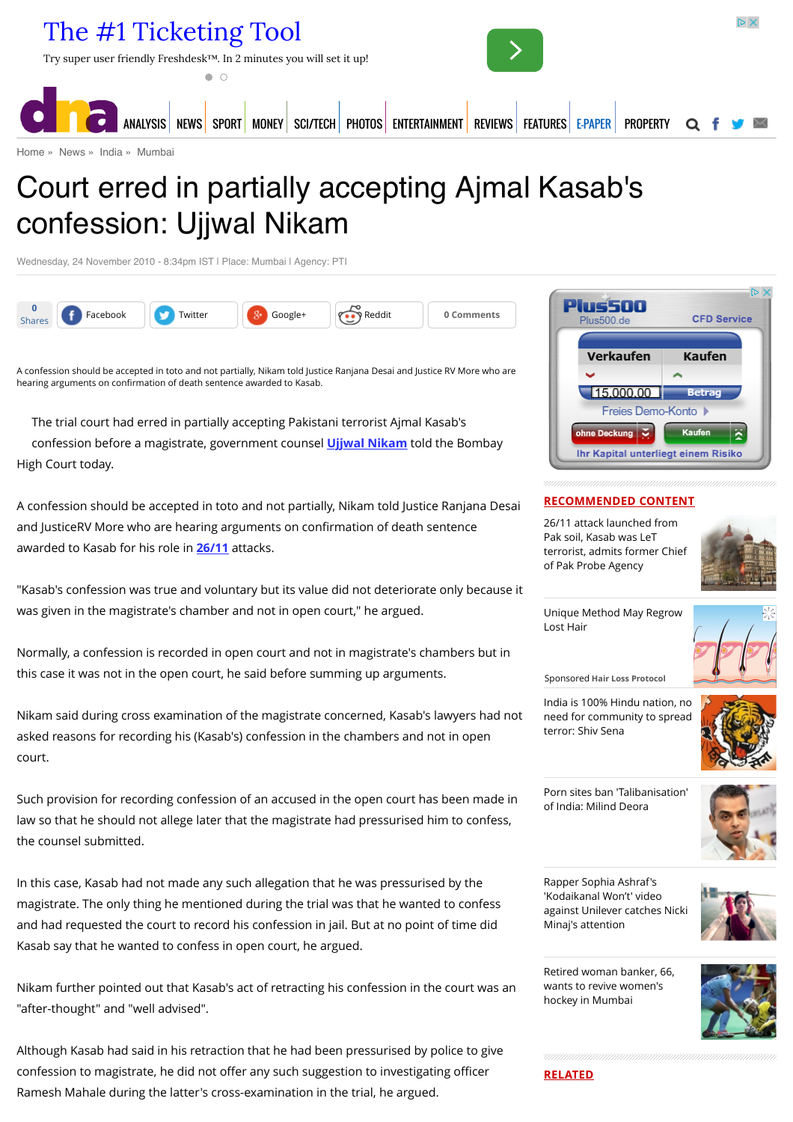

[Home](http://www.dnaindia.com/) » [News](http://www.dnaindia.com/news) » [India](http://www.dnaindia.com/india) » [Mumbai](http://www.dnaindia.com/mumbai)

# Court erred in partially accepting Ajmal Kasab's confession: Ujjwal Nikam

Wednesday, 24 November 2010 - 8:34pm IST | Place: Mumbai | Agency: PTI



A confession should be accepted in toto and not partially, Nikam told Justice Ranjana Desai and Justice RV More who are hearing arguments on confirmation of death sentence awarded to Kasab.

The trial court had erred in partially accepting Pakistani terrorist Ajmal Kasab's confession before a magistrate, government counsel **[Ujjwal Nikam](http://www.dnaindia.com/topic/ujjwal-nikam)** told the Bombay High Court today.

A confession should be accepted in toto and not partially, Nikam told Justice Ranjana Desai and JusticeRV More who are hearing arguments on confirmation of death sentence awarded to Kasab for his role in **[26/11](http://www.dnaindia.com/topic/2611)** attacks.

"Kasab's confession was true and voluntary but its value did not deteriorate only because it was given in the magistrate's chamber and not in open court," he argued.

Normally, a confession is recorded in open court and not in magistrate's chambers but in this case it was not in the open court, he said before summing up arguments.

Nikam said during cross examination of the magistrate concerned, Kasab's lawyers had not asked reasons for recording his (Kasab's) confession in the chambers and not in open court.

Such provision for recording confession of an accused in the open court has been made in law so that he should not allege later that the magistrate had pressurised him to confess, the counsel submitted.

In this case, Kasab had not made any such allegation that he was pressurised by the magistrate. The only thing he mentioned during the trial was that he wanted to confess and had requested the court to record his confession in jail. But at no point of time did Kasab say that he wanted to confess in open court, he argued.

Nikam further pointed out that Kasab's act of retracting his confession in the court was an "after-thought" and "well advised".

Although Kasab had said in his retraction that he had been pressurised by police to give confession to magistrate, he did not offer any such suggestion to investigating officer Ramesh Mahale during the latter's cross-examination in the trial, he argued.



# **RECOMMENDED CONTENT**

26/11 attack launched from Pak soil, Kasab was LeT [terrorist, admits former Chief](http://www.dnaindia.com/india/report-2611-attack-launched-from-pak-soil-kasab-was-let-terrorist-admits-former-chief-of-pak-probe-agency-2110976) of Pak Probe Agency



[Unique Method May Regrow](https://beap.gemini.yahoo.com/mbclk?bv=1.0.0&es=EWF.cDsGIS9FSQ0XXzUEtOs.M4c5G.cT0i4s9Cl0PnAvaqzW5S2JC9ixoE6dirVGoMFcFRVEFIxpztyKUaI6QvfBnePIZ9pUkXNue4SVkFupxbqegKN5asONjQQLWOjDSMPgM1EG3AZaR5_LLzvmANvbh6j1xL0sxVU8..Gt2GcO7duDk2vsZ2HqQzUMEkqTHcwZyNCfSLyOe0Ni4lgvKUBxNw0Ns6XlUHh7E62fciv1SFwvc1GgPHup0efp.rZNg06BHsD6CQGASbtXyEfr71R4tw6gy_taU.cMuk4MXludM.B43oFPDYNIpZ7KuXr4MzCJpTgdgC6pIiDgIkPethPzc.UvcCe8zaAPqjIElwERjFU4Dihn.NEdVxcvx72EjqF6kAckqncYzwXwjSMabNRBGMAJZGGlZQpYEgJBWUCfFbKCuq0H6jIiEThU1fRd__emMbXFlHhOVrMrHDAK8axlK7Xs8tbyPliGIy.4l6QcGr4IJy_JIN.gh.ILYVthDChlVMDCW0PbQ1BQNK1Lb4lkoNpMC47goP4BvVeW%26lp=) Lost Hair

Sponsored **Hair Loss Protocol**

India is 100% Hindu nation, no [need for community to spread](http://www.dnaindia.com/india/report-india-is-100-hindu-nation-no-need-for-community-to-spread-terror-shiv-sena-2110654) terror: Shiv Sena



[Porn sites ban 'Talibanisation'](http://www.dnaindia.com/india/report-porn-sites-ban-talibanisation-of-india-milind-deora-2110734) of India: Milind Deora



Rapper Sophia Ashraf's 'Kodaikanal Won't' video [against Unilever catches Nicki](http://www.dnaindia.com/india/report-rapper-sophia-ashraf-s-kodaikanal-won-t-video-against-unilever-catches-nicki-minaj-s-attention-2110652) Minaj's attention



[Retired woman banker, 66,](http://www.dnaindia.com/mumbai/report-retired-woman-banker-66-wants-to-revive-women-s-hockey-in-mumbai-2110524) wants to revive women's hockey in Mumbai



**RELATED**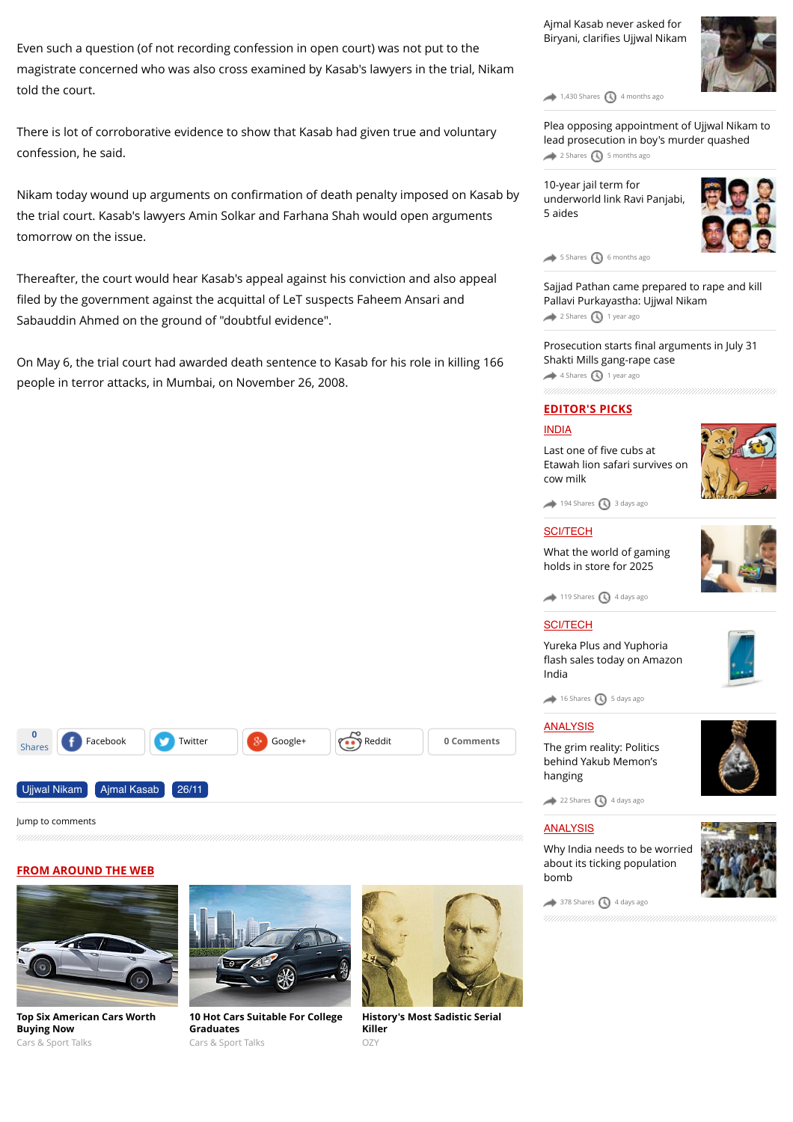Even such a question (of not recording confession in open court) was not put to the magistrate concerned who was also cross examined by Kasab's lawyers in the trial, Nikam told the court.

There is lot of corroborative evidence to show that Kasab had given true and voluntary confession, he said.

Nikam today wound up arguments on confirmation of death penalty imposed on Kasab by the trial court. Kasab's lawyers Amin Solkar and Farhana Shah would open arguments tomorrow on the issue.

Thereafter, the court would hear Kasab's appeal against his conviction and also appeal filed by the government against the acquittal of LeT suspects Faheem Ansari and Sabauddin Ahmed on the ground of "doubtful evidence".

On May 6, the trial court had awarded death sentence to Kasab for his role in killing 166 people in terror attacks, in Mumbai, on November 26, 2008.

[Ajmal Kasab never asked for](http://www.dnaindia.com/mumbai/report-ajmal-kasab-never-asked-for-biryani-clarifies-ujjwal-nikam-2070583) Biryani, clarifies Ujjwal Nikam



 $1,430$  Shares  $\bigcirc$  [4 months ago](http://www.dnaindia.com/mumbai/report-court-erred-in-partially-accepting-ajmal-kasabs-confession-ujjwal-nikam-1471545#)

[Plea opposing appointment of Ujjwal Nikam to](http://www.dnaindia.com/mumbai/report-plea-opposing-appointment-of-ujjwal-nikam-to-lead-prosecution-in-boy-s-murder-quashed-2059050) lead prosecution in boy's murder quashed  $2$  Shares  $\bigcirc$  [5 months ago](http://www.dnaindia.com/mumbai/report-court-erred-in-partially-accepting-ajmal-kasabs-confession-ujjwal-nikam-1471545#)

10-year jail term for [underworld link Ravi Panjabi,](http://www.dnaindia.com/mumbai/report-10-year-jail-term-for-underworld-link-ravi-panjabi-5-aides-2057969) 5 aides



[5 Shares](http://www.dnaindia.com/mumbai/report-court-erred-in-partially-accepting-ajmal-kasabs-confession-ujjwal-nikam-1471545#) **(b)** [6 months ago](http://www.dnaindia.com/mumbai/report-court-erred-in-partially-accepting-ajmal-kasabs-confession-ujjwal-nikam-1471545#)

[Sajjad Pathan came prepared to rape and kill](http://www.dnaindia.com/mumbai/report-sajjad-pathan-came-prepared-to-rape-and-kill-pallavi-purkayastha-ujjwal-nikam-1980750) Pallavi Purkayastha: Ujjwal Nikam [2 Shares](http://www.dnaindia.com/mumbai/report-court-erred-in-partially-accepting-ajmal-kasabs-confession-ujjwal-nikam-1471545#) [1 year ago](http://www.dnaindia.com/mumbai/report-court-erred-in-partially-accepting-ajmal-kasabs-confession-ujjwal-nikam-1471545#)

Prosecution starts final arguments in July 31 [Shakti Mills gang-rape case](http://www.dnaindia.com/mumbai/report-prosecution-starts-final-arguments-in-july-31-shakti-mills-gang-rape-case-1967420)  $\leftrightarrow$  [4 Shares](http://www.dnaindia.com/mumbai/report-court-erred-in-partially-accepting-ajmal-kasabs-confession-ujjwal-nikam-1471545#)  $\bigcirc$  [1 year ago](http://www.dnaindia.com/mumbai/report-court-erred-in-partially-accepting-ajmal-kasabs-confession-ujjwal-nikam-1471545#)

### **EDITOR'S PICKS**

### [INDIA](http://www.dnaindia.com/india)

Last one of five cubs at [Etawah lion safari survives on](http://www.dnaindia.com/india/report-last-one-of-five-cubs-at-etawah-lion-safari-survives-on-cow-milk-2109981) cow milk



 $194$  Shares  $\bigcirc$  [3 days ago](http://www.dnaindia.com/mumbai/report-court-erred-in-partially-accepting-ajmal-kasabs-confession-ujjwal-nikam-1471545#)

# **[SCI/TECH](http://www.dnaindia.com/scitech)**

[What the world of gaming](http://www.dnaindia.com/scitech/report-immersion-is-the-name-of-the-game-2109432) holds in store for 2025



 $\rightarrow$  [119 Shares](http://www.dnaindia.com/mumbai/report-court-erred-in-partially-accepting-ajmal-kasabs-confession-ujjwal-nikam-1471545#)  $\bigcirc$  [4 days ago](http://www.dnaindia.com/mumbai/report-court-erred-in-partially-accepting-ajmal-kasabs-confession-ujjwal-nikam-1471545#)

### [SCI/TECH](http://www.dnaindia.com/scitech)

Yureka Plus and Yuphoria fl[ash sales today on Amazon](http://www.dnaindia.com/scitech/report-yureka-plus-and-yuphoria-flash-sales-today-on-amazon-india-2109499) India



### [ANALYSIS](http://www.dnaindia.com/analysis)

[The grim reality: Politics](http://www.dnaindia.com/analysis/editorial-the-grim-reality-politics-behind-yakub-memon-s-hanging-2109659) behind Yakub Memon's hanging

[22 Shares](http://www.dnaindia.com/mumbai/report-court-erred-in-partially-accepting-ajmal-kasabs-confession-ujjwal-nikam-1471545#) [4 days ago](http://www.dnaindia.com/mumbai/report-court-erred-in-partially-accepting-ajmal-kasabs-confession-ujjwal-nikam-1471545#)

### **[ANALYSIS](http://www.dnaindia.com/analysis)**

[Why India needs to be worried](http://www.dnaindia.com/analysis/editorial-dnaedit-population-bomb-2109662) about its ticking population bomb



 $\rightarrow$  [378 Shares](http://www.dnaindia.com/mumbai/report-court-erred-in-partially-accepting-ajmal-kasabs-confession-ujjwal-nikam-1471545#)  $\bigcirc$  [4 days ago](http://www.dnaindia.com/mumbai/report-court-erred-in-partially-accepting-ajmal-kasabs-confession-ujjwal-nikam-1471545#)





[Ujjwal Nikam](http://www.dnaindia.com/topic/ujjwal-nikam) [Ajmal Kasab](http://www.dnaindia.com/topic/ajmal-kasab) [26/11](http://www.dnaindia.com/topic/2611)

**0**

**[Top Six American Cars Worth](http://fryerschat.com/top-six-american-cars-worth-buying-now/) Buying Now** Cars & Sport Talks



Shares **f** [Facebook](https://www.facebook.com/sharer/sharer.php?u=http%3A%2F%2Fwww.dnaindia.com%2Fmumbai%2Freport-court-erred-in-partially-accepting-ajmal-kasabs-confession-ujjwal-nikam-1471545) [Twitter](https://twitter.com/share?url=http%3A%2F%2Fdnai.in%2F9ysu&lang=en&text=Court+erred+in+partially+accepting+Ajmal+Kasab%27s+confession%3A+Ujjwal+Nikam&via=dna) **[Google+](https://plus.google.com/share?url=http%3A%2F%2Fwww.dnaindia.com%2Fmumbai%2Freport-court-erred-in-partially-accepting-ajmal-kasabs-confession-ujjwal-nikam-1471545&hl=en) Comments** 

**[10 Hot Cars Suitable For College](http://fryerschat.com/10-hot-cars-suitable-for-college-graduates/) Graduates** Cars & Sport Talks



**[History's Most Sadistic Serial](http://www.ozy.com/flashback/historys-most-sadistic-serial-killer/40585?utm_source=Outbrain&utm_medium=CPC&utm_campaign=INTL%20-%20All%20Clicks%20ALL%20Devices) Killer** OZY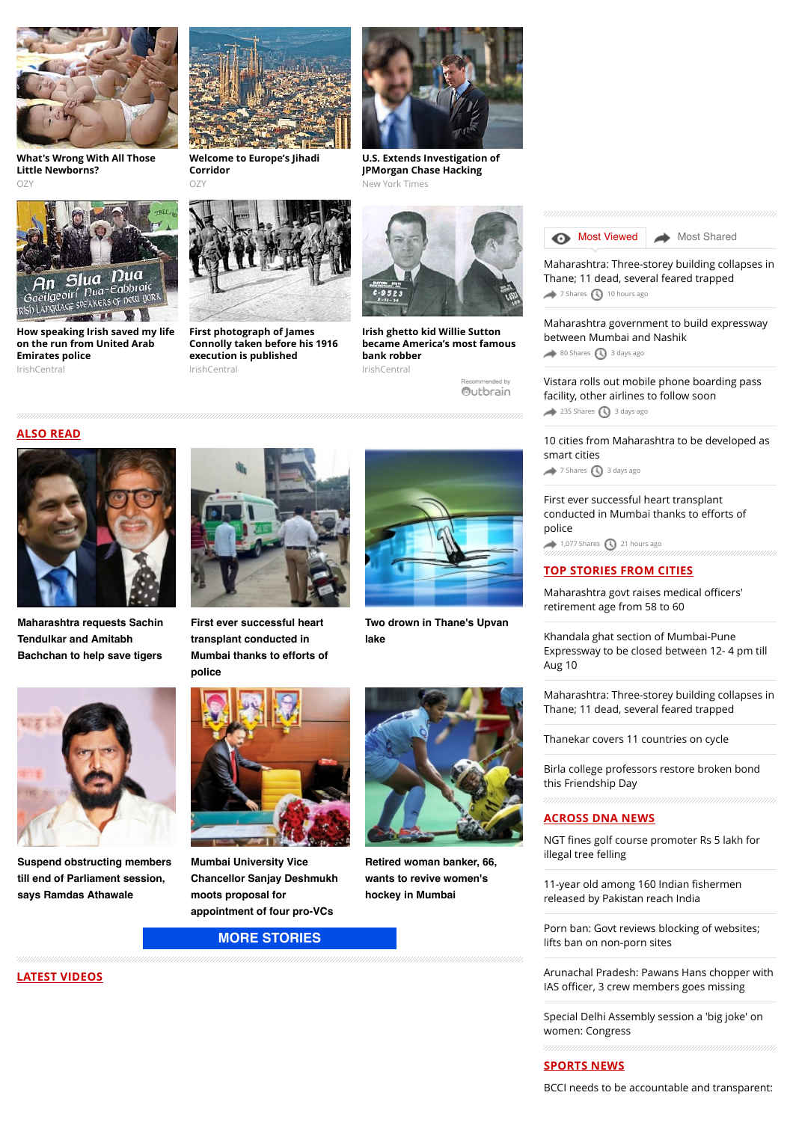

**[What's Wrong With All Those](http://www.ozy.com/acumen/whats-wrong-with-all-those-little-newborns/40384?utm_source=Outbrain&utm_medium=CPC&utm_campaign=INTL%20-%20All%20Clicks%20ALL%20Devices) Little Newborns?**  $OZ$ 



**[How speaking Irish saved my life](http://www.irishcentral.com/news/irishvoice/How-speaking-Irish-saved-my-life-on-the-run-from-the-police.html) on the run from United Arab Emirates police** IrishCentral



**[Welcome to Europe's Jihadi](http://www.ozy.com/fast-forward/welcome-to-europes-jihadi-corridor/60342?utm_source=Outbrain&utm_medium=CPC&utm_campaign=INTL%20-%20All%20Clicks%20ALL%20Devices) Corridor**  $OZ$ 

**First photograph of James [Connolly taken before his 1916](http://www.irishcentral.com/roots/history/First-photograph-of-James-Connolly-taken-before-his-1916-execution-is-published.html) execution is published**

IrishCentral



**[U.S. Extends Investigation of](http://www.nytimes.com/2015/07/29/business/us-extends-bank-breach-investigation.html?WT.mc_id=2015-AUGUST-OTB-INTL_AUD_DEV-0801-0831&WT.mc_ev=click&ad-keywords=IntlAudDev) JPMorgan Chase Hacking** New York Times



**Irish ghetto kid Willie Sutton [became America's most famous](http://www.irishcentral.com/roots/history/Irish-ghetto-kid-Willie-Sutton-became-Americas-most-famous-bank-robber.html) bank robber** IrishCentral

Recommended by Outbrain

### **ALSO READ**



**[Maharashtra requests Sachin](http://www.dnaindia.com/mumbai/report-maharashtra-requests-sachin-tendulkar-and-amitabh-bachchan-to-help-save-tigers-2110838) Tendulkar and Amitabh Bachchan to help save tigers**



**First ever successful heart transplant conducted in [Mumbai thanks to efforts of](http://www.dnaindia.com/mumbai/report-first-ever-successful-heart-transplant-conducted-in-mumbai-thanks-to-efforts-of-police-2110832) police**



**[Two drown in Thane's Upvan](http://www.dnaindia.com/mumbai/report-two-drown-in-thane-s-upvan-lake-2110740) lake**



**[Suspend obstructing members](http://www.dnaindia.com/mumbai/report-suspend-obstructing-members-till-end-of-parliament-session-says-ramdas-athawale-2110708) till end of Parliament session, says Ramdas Athawale**



**Mumbai University Vice [Chancellor Sanjay Deshmukh](http://www.dnaindia.com/mumbai/report-mumbai-university-vice-chancellor-sanjay-deshmukh-moots-proposal-for-appointment-of-four-pro-vcs-2110578) moots proposal for appointment of four pro-VCs**

# **[MORE STORIES](http://www.dnaindia.com/mumbai)**



**[Retired woman banker, 66,](http://www.dnaindia.com/mumbai/report-retired-woman-banker-66-wants-to-revive-women-s-hockey-in-mumbai-2110524) wants to revive women's hockey in Mumbai**

# **[Most Viewed](http://www.dnaindia.com/mumbai/report-court-erred-in-partially-accepting-ajmal-kasabs-confession-ujjwal-nikam-1471545#mostviewed) [Most Shared](http://www.dnaindia.com/mumbai/report-court-erred-in-partially-accepting-ajmal-kasabs-confession-ujjwal-nikam-1471545#mostshared)**

[Maharashtra: Three-storey building collapses in](http://www.dnaindia.com/mumbai/report-maharashtra-three-storey-building-collapses-in-thane-11-dead-several-feared-trapped-2110890) Thane; 11 dead, several feared trapped  $\rightarrow$  [7 Shares](http://www.dnaindia.com/mumbai/report-court-erred-in-partially-accepting-ajmal-kasabs-confession-ujjwal-nikam-1471545#)  $\bigcirc$  [10 hours ago](http://www.dnaindia.com/mumbai/report-court-erred-in-partially-accepting-ajmal-kasabs-confession-ujjwal-nikam-1471545#)

[Maharashtra government to build expressway](http://www.dnaindia.com/mumbai/report-maharashtra-government-to-build-expressway-between-mumbai-and-nashik-2109935) between Mumbai and Nashik

 $\leftrightarrow$  [80 Shares](http://www.dnaindia.com/mumbai/report-court-erred-in-partially-accepting-ajmal-kasabs-confession-ujjwal-nikam-1471545#)  $\bigcirc$  [3 days ago](http://www.dnaindia.com/mumbai/report-court-erred-in-partially-accepting-ajmal-kasabs-confession-ujjwal-nikam-1471545#)

[Vistara rolls out mobile phone boarding pass](http://www.dnaindia.com/mumbai/report-vistara-rolls-out-mobile-phone-boarding-pass-facility-other-airlines-to-follow-soon-2109930) facility, other airlines to follow soon  $235$  Shares  $\bigodot$  [3 days ago](http://www.dnaindia.com/mumbai/report-court-erred-in-partially-accepting-ajmal-kasabs-confession-ujjwal-nikam-1471545#)

[10 cities from Maharashtra to be developed as](http://www.dnaindia.com/mumbai/report-10-cities-from-maharashtra-to-be-developed-as-smart-cities-2109979) smart cities  $\rightarrow$  [7 Shares](http://www.dnaindia.com/mumbai/report-court-erred-in-partially-accepting-ajmal-kasabs-confession-ujjwal-nikam-1471545#)  $\bigcirc$  [3 days ago](http://www.dnaindia.com/mumbai/report-court-erred-in-partially-accepting-ajmal-kasabs-confession-ujjwal-nikam-1471545#)

[First ever successful heart transplant](http://www.dnaindia.com/mumbai/report-first-ever-successful-heart-transplant-conducted-in-mumbai-thanks-to-efforts-of-police-2110832) conducted in Mumbai thanks to efforts of police  $1,077$  Shares  $\bigodot$  [21 hours ago](http://www.dnaindia.com/mumbai/report-court-erred-in-partially-accepting-ajmal-kasabs-confession-ujjwal-nikam-1471545#)

# **TOP STORIES FROM CITIES**

[Maharashtra govt raises medical o](http://www.dnaindia.com/mumbai/report-maharashtra-govt-raises-medical-officers-retirement-age-from-58-to-60-2110999)fficers' retirement age from 58 to 60

Khandala ghat section of Mumbai-Pune [Expressway to be closed between 12- 4 pm till](http://www.dnaindia.com/mumbai/report-khandala-ghat-section-of-mumbai-pune-expressway-to-be-closed-from-12-4-pm-till-aug-10-2110914) Aug 10

[Maharashtra: Three-storey building collapses in](http://www.dnaindia.com/mumbai/report-maharashtra-three-storey-building-collapses-in-thane-11-dead-several-feared-trapped-2110890) Thane; 11 dead, several feared trapped

[Thanekar covers 11 countries on cycle](http://www.dnaindia.com/mumbai/report-thanekar-covers-11-countries-on-cycle-2110888)

[Birla college professors restore broken bond](http://www.dnaindia.com/mumbai/report-birla-college-professors-restore-broken-bond-this-friendship-day-2110887) this Friendship Day

# **ACROSS DNA NEWS**

NGT fi[nes golf course promoter Rs 5 lakh for](http://www.dnaindia.com/india/report-ngt-fines-golf-course-promoter-rs-5-lakh-for-illegal-tree-felling-2111076) illegal tree felling

11-year old among 160 Indian fishermen [released by Pakistan reach India](http://www.dnaindia.com/india/report-11-year-old-among-160-indian-fishermen-released-by-pakistan-reach-india-2111069)

[Porn ban: Govt reviews blocking of websites;](http://www.dnaindia.com/india/report-govt-reviews-blocking-of-websites-lifts-ban-on-non-porn-sites-2111065) lifts ban on non-porn sites

[Arunachal Pradesh: Pawans Hans chopper with](http://www.dnaindia.com/india/report-arunachal-pradesh-pawans-hans-chopper-with-ias-officer-2-others-goes-missing-2110994) IAS officer, 3 crew members goes missing

[Special Delhi Assembly session a 'big joke' on](http://www.dnaindia.com/india/report-special-delhi-assembly-session-a-big-joke-on-women-congress-2111040) women: Congress

# **SPORTS NEWS**

[BCCI needs to be accountable and transparent:](http://www.dnaindia.com/sport/report-bcci-needs-to-be-accountable-and-transparent-sports-minister-sarbananda-sonowal-2111038)

**LATEST VIDEOS**